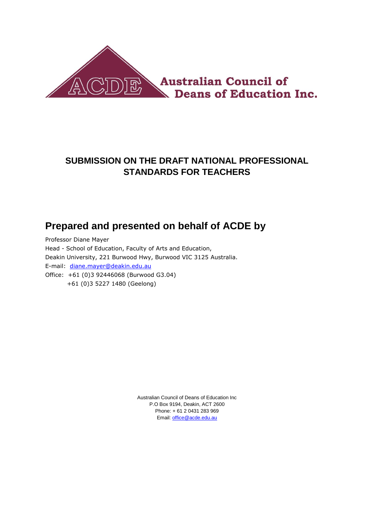

## **SUBMISSION ON THE DRAFT NATIONAL PROFESSIONAL STANDARDS FOR TEACHERS**

# **Prepared and presented on behalf of ACDE by**

Professor Diane Mayer Head - School of Education, Faculty of Arts and Education, Deakin University, 221 Burwood Hwy, Burwood VIC 3125 Australia. E-mail: <diane.mayer@deakin.edu.au> Office: +61 (0)3 92446068 (Burwood G3.04) +61 (0)3 5227 1480 (Geelong)

> Australian Council of Deans of Education Inc P.O Box 9194, Deakin, ACT 2600 Phone: + 61 2 0431 283 969 Email[: office@acde.edu.au](mailto:office@acde.edu.au)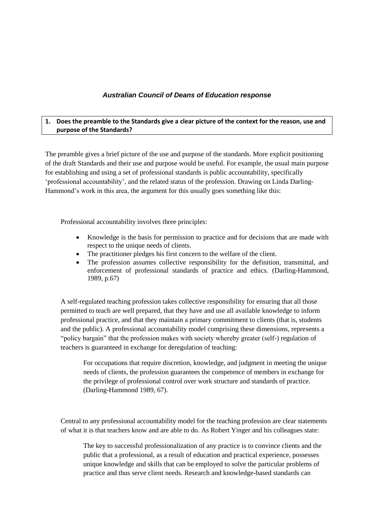### *Australian Council of Deans of Education response*

#### **1. Does the preamble to the Standards give a clear picture of the context for the reason, use and purpose of the Standards?**

The preamble gives a brief picture of the use and purpose of the standards. More explicit positioning of the draft Standards and their use and purpose would be useful. For example, the usual main purpose for establishing and using a set of professional standards is public accountability, specifically "professional accountability", and the related status of the profession. Drawing on Linda Darling-Hammond's work in this area, the argument for this usually goes something like this:

Professional accountability involves three principles:

- Knowledge is the basis for permission to practice and for decisions that are made with respect to the unique needs of clients.
- The practitioner pledges his first concern to the welfare of the client.
- The profession assumes collective responsibility for the definition, transmittal, and enforcement of professional standards of practice and ethics. (Darling-Hammond, 1989, p.67)

A self-regulated teaching profession takes collective responsibility for ensuring that all those permitted to teach are well prepared, that they have and use all available knowledge to inform professional practice, and that they maintain a primary commitment to clients (that is, students and the public). A professional accountability model comprising these dimensions, represents a "policy bargain" that the profession makes with society whereby greater (self-) regulation of teachers is guaranteed in exchange for deregulation of teaching:

For occupations that require discretion, knowledge, and judgment in meeting the unique needs of clients, the profession guarantees the competence of members in exchange for the privilege of professional control over work structure and standards of practice. (Darling-Hammond 1989, 67).

Central to any professional accountability model for the teaching profession are clear statements of what it is that teachers know and are able to do. As Robert Yinger and his colleagues state:

The key to successful professionalization of any practice is to convince clients and the public that a professional, as a result of education and practical experience, possesses unique knowledge and skills that can be employed to solve the particular problems of practice and thus serve client needs. Research and knowledge-based standards can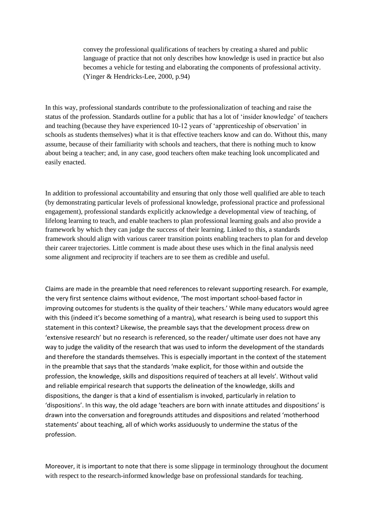convey the professional qualifications of teachers by creating a shared and public language of practice that not only describes how knowledge is used in practice but also becomes a vehicle for testing and elaborating the components of professional activity. (Yinger & Hendricks-Lee, 2000, p.94)

In this way, professional standards contribute to the professionalization of teaching and raise the status of the profession. Standards outline for a public that has a lot of "insider knowledge" of teachers and teaching (because they have experienced 10-12 years of "apprenticeship of observation" in schools as students themselves) what it is that effective teachers know and can do. Without this, many assume, because of their familiarity with schools and teachers, that there is nothing much to know about being a teacher; and, in any case, good teachers often make teaching look uncomplicated and easily enacted.

In addition to professional accountability and ensuring that only those well qualified are able to teach (by demonstrating particular levels of professional knowledge, professional practice and professional engagement), professional standards explicitly acknowledge a developmental view of teaching, of lifelong learning to teach, and enable teachers to plan professional learning goals and also provide a framework by which they can judge the success of their learning. Linked to this, a standards framework should align with various career transition points enabling teachers to plan for and develop their career trajectories. Little comment is made about these uses which in the final analysis need some alignment and reciprocity if teachers are to see them as credible and useful.

Claims are made in the preamble that need references to relevant supporting research. For example, the very first sentence claims without evidence, 'The most important school-based factor in improving outcomes for students is the quality of their teachers.' While many educators would agree with this (indeed it's become something of a mantra), what research is being used to support this statement in this context? Likewise, the preamble says that the development process drew on 'extensive research' but no research is referenced, so the reader/ ultimate user does not have any way to judge the validity of the research that was used to inform the development of the standards and therefore the standards themselves. This is especially important in the context of the statement in the preamble that says that the standards 'make explicit, for those within and outside the profession, the knowledge, skills and dispositions required of teachers at all levels'. Without valid and reliable empirical research that supports the delineation of the knowledge, skills and dispositions, the danger is that a kind of essentialism is invoked, particularly in relation to 'dispositions'. In this way, the old adage 'teachers are born with innate attitudes and dispositions' is drawn into the conversation and foregrounds attitudes and dispositions and related 'motherhood statements' about teaching, all of which works assiduously to undermine the status of the profession.

Moreover, it is important to note that there is some slippage in terminology throughout the document with respect to the research-informed knowledge base on professional standards for teaching.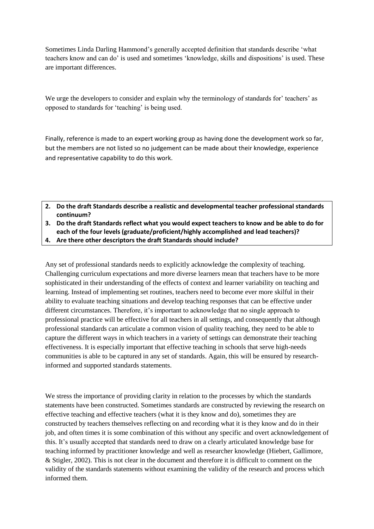Sometimes Linda Darling Hammond"s generally accepted definition that standards describe "what teachers know and can do' is used and sometimes 'knowledge, skills and dispositions' is used. These are important differences.

We urge the developers to consider and explain why the terminology of standards for' teachers' as opposed to standards for "teaching" is being used.

Finally, reference is made to an expert working group as having done the development work so far, but the members are not listed so no judgement can be made about their knowledge, experience and representative capability to do this work.

- **2. Do the draft Standards describe a realistic and developmental teacher professional standards continuum?**
- **3. Do the draft Standards reflect what you would expect teachers to know and be able to do for each of the four levels (graduate/proficient/highly accomplished and lead teachers)?**
- **4. Are there other descriptors the draft Standards should include?**

Any set of professional standards needs to explicitly acknowledge the complexity of teaching. Challenging curriculum expectations and more diverse learners mean that teachers have to be more sophisticated in their understanding of the effects of context and learner variability on teaching and learning. Instead of implementing set routines, teachers need to become ever more skilful in their ability to evaluate teaching situations and develop teaching responses that can be effective under different circumstances. Therefore, it"s important to acknowledge that no single approach to professional practice will be effective for all teachers in all settings, and consequently that although professional standards can articulate a common vision of quality teaching, they need to be able to capture the different ways in which teachers in a variety of settings can demonstrate their teaching effectiveness. It is especially important that effective teaching in schools that serve high-needs communities is able to be captured in any set of standards. Again, this will be ensured by researchinformed and supported standards statements.

We stress the importance of providing clarity in relation to the processes by which the standards statements have been constructed. Sometimes standards are constructed by reviewing the research on effective teaching and effective teachers (what it is they know and do), sometimes they are constructed by teachers themselves reflecting on and recording what it is they know and do in their job, and often times it is some combination of this without any specific and overt acknowledgement of this. It"s usually accepted that standards need to draw on a clearly articulated knowledge base for teaching informed by practitioner knowledge and well as researcher knowledge (Hiebert, Gallimore, & Stigler, 2002). This is not clear in the document and therefore it is difficult to comment on the validity of the standards statements without examining the validity of the research and process which informed them.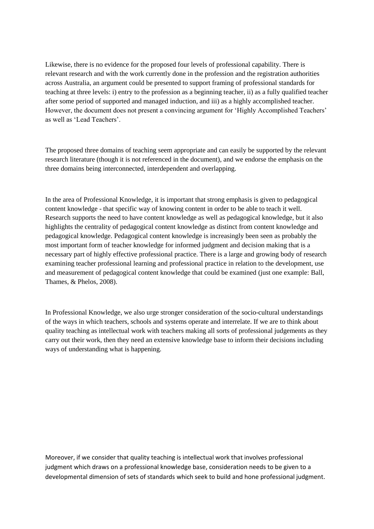Likewise, there is no evidence for the proposed four levels of professional capability. There is relevant research and with the work currently done in the profession and the registration authorities across Australia, an argument could be presented to support framing of professional standards for teaching at three levels: i) entry to the profession as a beginning teacher, ii) as a fully qualified teacher after some period of supported and managed induction, and iii) as a highly accomplished teacher. However, the document does not present a convincing argument for 'Highly Accomplished Teachers' as well as 'Lead Teachers'.

The proposed three domains of teaching seem appropriate and can easily be supported by the relevant research literature (though it is not referenced in the document), and we endorse the emphasis on the three domains being interconnected, interdependent and overlapping.

In the area of Professional Knowledge, it is important that strong emphasis is given to pedagogical content knowledge - that specific way of knowing content in order to be able to teach it well. Research supports the need to have content knowledge as well as pedagogical knowledge, but it also highlights the centrality of pedagogical content knowledge as distinct from content knowledge and pedagogical knowledge. Pedagogical content knowledge is increasingly been seen as probably the most important form of teacher knowledge for informed judgment and decision making that is a necessary part of highly effective professional practice. There is a large and growing body of research examining teacher professional learning and professional practice in relation to the development, use and measurement of pedagogical content knowledge that could be examined (just one example: Ball, Thames, & Phelos, 2008).

In Professional Knowledge, we also urge stronger consideration of the socio-cultural understandings of the ways in which teachers, schools and systems operate and interrelate. If we are to think about quality teaching as intellectual work with teachers making all sorts of professional judgements as they carry out their work, then they need an extensive knowledge base to inform their decisions including ways of understanding what is happening.

Moreover, if we consider that quality teaching is intellectual work that involves professional judgment which draws on a professional knowledge base, consideration needs to be given to a developmental dimension of sets of standards which seek to build and hone professional judgment.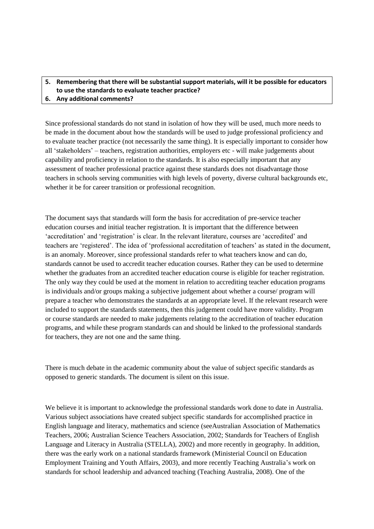### **5. Remembering that there will be substantial support materials, will it be possible for educators to use the standards to evaluate teacher practice?**

**6. Any additional comments?**

Since professional standards do not stand in isolation of how they will be used, much more needs to be made in the document about how the standards will be used to judge professional proficiency and to evaluate teacher practice (not necessarily the same thing). It is especially important to consider how all "stakeholders" – teachers, registration authorities, employers etc - will make judgements about capability and proficiency in relation to the standards. It is also especially important that any assessment of teacher professional practice against these standards does not disadvantage those teachers in schools serving communities with high levels of poverty, diverse cultural backgrounds etc, whether it be for career transition or professional recognition.

The document says that standards will form the basis for accreditation of pre-service teacher education courses and initial teacher registration. It is important that the difference between "accreditation" and "registration" is clear. In the relevant literature, courses are "accredited" and teachers are "registered". The idea of "professional accreditation of teachers" as stated in the document, is an anomaly. Moreover, since professional standards refer to what teachers know and can do, standards cannot be used to accredit teacher education courses. Rather they can be used to determine whether the graduates from an accredited teacher education course is eligible for teacher registration. The only way they could be used at the moment in relation to accrediting teacher education programs is individuals and/or groups making a subjective judgement about whether a course/ program will prepare a teacher who demonstrates the standards at an appropriate level. If the relevant research were included to support the standards statements, then this judgement could have more validity. Program or course standards are needed to make judgements relating to the accreditation of teacher education programs, and while these program standards can and should be linked to the professional standards for teachers, they are not one and the same thing.

There is much debate in the academic community about the value of subject specific standards as opposed to generic standards. The document is silent on this issue.

We believe it is important to acknowledge the professional standards work done to date in Australia. Various subject associations have created subject specific standards for accomplished practice in English language and literacy, mathematics and science (seeAustralian Association of Mathematics Teachers, 2006; Australian Science Teachers Association, 2002; Standards for Teachers of English Language and Literacy in Australia (STELLA), 2002) and more recently in geography. In addition, there was the early work on a national standards framework (Ministerial Council on Education Employment Training and Youth Affairs, 2003), and more recently Teaching Australia"s work on standards for school leadership and advanced teaching (Teaching Australia, 2008). One of the